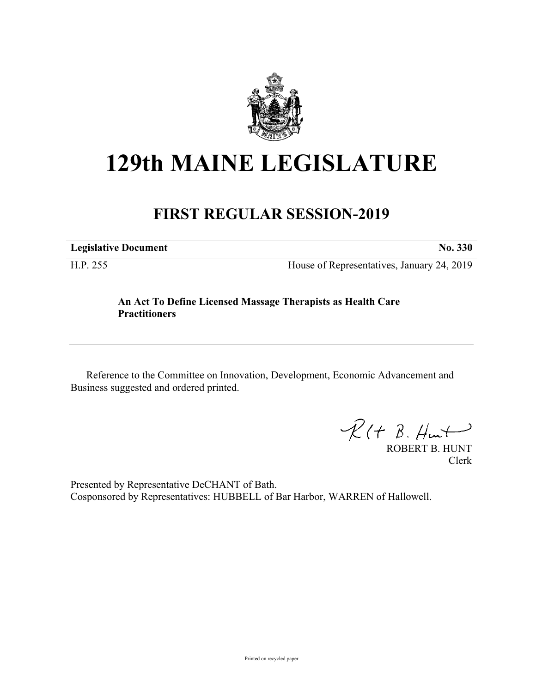

## **129th MAINE LEGISLATURE**

## **FIRST REGULAR SESSION-2019**

**Legislative Document No. 330**

H.P. 255 House of Representatives, January 24, 2019

## **An Act To Define Licensed Massage Therapists as Health Care Practitioners**

Reference to the Committee on Innovation, Development, Economic Advancement and Business suggested and ordered printed.

 $\mathcal{R}(t \; \mathcal{B}, \mathcal{H}_{\mathsf{int}})$ 

ROBERT B. HUNT Clerk

Presented by Representative DeCHANT of Bath. Cosponsored by Representatives: HUBBELL of Bar Harbor, WARREN of Hallowell.